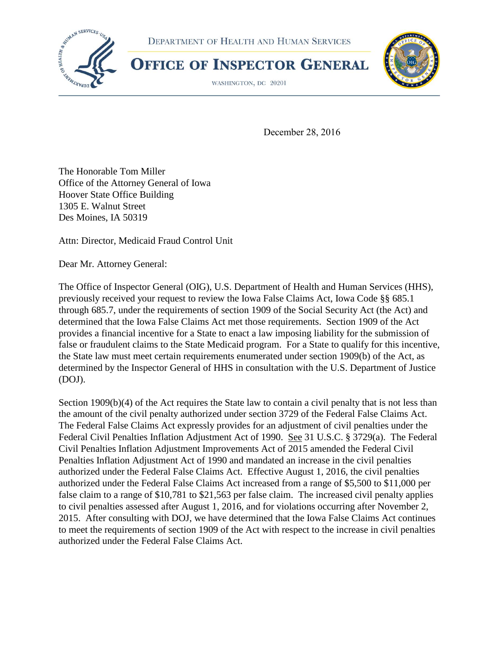





WASHINGTON, DC 20201



December 28, 2016

The Honorable Tom Miller Office of the Attorney General of Iowa Hoover State Office Building 1305 E. Walnut Street Des Moines, IA 50319

Attn: Director, Medicaid Fraud Control Unit

Dear Mr. Attorney General:

The Office of Inspector General (OIG), U.S. Department of Health and Human Services (HHS), previously received your request to review the Iowa False Claims Act, Iowa Code §§ 685.1 through 685.7, under the requirements of section 1909 of the Social Security Act (the Act) and determined that the Iowa False Claims Act met those requirements. Section 1909 of the Act provides a financial incentive for a State to enact a law imposing liability for the submission of false or fraudulent claims to the State Medicaid program. For a State to qualify for this incentive, the State law must meet certain requirements enumerated under section 1909(b) of the Act, as determined by the Inspector General of HHS in consultation with the U.S. Department of Justice (DOJ).

Section 1909(b)(4) of the Act requires the State law to contain a civil penalty that is not less than the amount of the civil penalty authorized under section 3729 of the Federal False Claims Act. The Federal False Claims Act expressly provides for an adjustment of civil penalties under the Federal Civil Penalties Inflation Adjustment Act of 1990. See 31 U.S.C. § 3729(a). The Federal Civil Penalties Inflation Adjustment Improvements Act of 2015 amended the Federal Civil Penalties Inflation Adjustment Act of 1990 and mandated an increase in the civil penalties authorized under the Federal False Claims Act. Effective August 1, 2016, the civil penalties authorized under the Federal False Claims Act increased from a range of \$5,500 to \$11,000 per false claim to a range of \$10,781 to \$21,563 per false claim. The increased civil penalty applies to civil penalties assessed after August 1, 2016, and for violations occurring after November 2, 2015. After consulting with DOJ, we have determined that the Iowa False Claims Act continues to meet the requirements of section 1909 of the Act with respect to the increase in civil penalties authorized under the Federal False Claims Act.